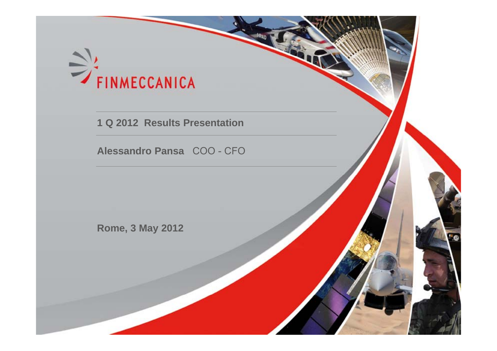

**1 Q 2012 Results Presentation**

**Alessandro Pansa** COO - CFO

**Rome, 3 May 2012**



1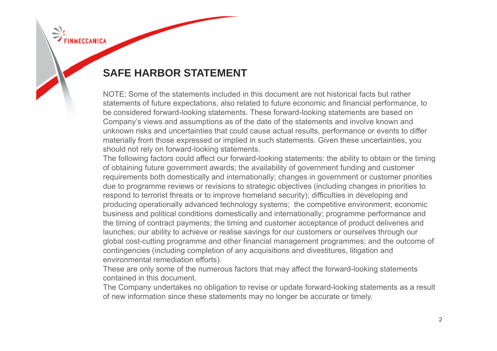# **SAFE HARBOR STATEMENT**

NOTE: Some of the statements included in this document are not historical facts but rather statements of future expectations, also related to future economic and financial performance, to be considered forward-looking statements. These forward-looking statements are based on Company's views and assumptions as of the date of the statements and involve known and unknown risks and uncertainties that could cause actual results, performance or events to differ materially from those expressed or implied in such statements. Given these uncertainties, you should not rely on forward-looking statements.

The following factors could affect our forward-looking statements: the ability to obtain or the timing of obtaining future government awards; the availability of government funding and customer requirements both domestically and internationally; changes in government or customer priorities due to programme reviews or revisions to strategic objectives (including changes in priorities to respond to terrorist threats or to improve homeland security); difficulties in developing and producing operationally advanced technology systems; the competitive environment; economic business and political conditions domestically and internationally; programme performance and the timing of contract payments; the timing and customer acceptance of product deliveries and launches; our ability to achieve or realise savings for our customers or ourselves through our global cost-cutting programme and other financial management programmes; and the outcome of contingencies (including completion of any acquisitions and divestitures, litigation and environmental remediation efforts).

These are only some of the numerous factors that may affect the forward-looking statements contained in this document.

The Company undertakes no obligation to revise or update forward-looking statements as a result of new information since these statements may no longer be accurate or timely.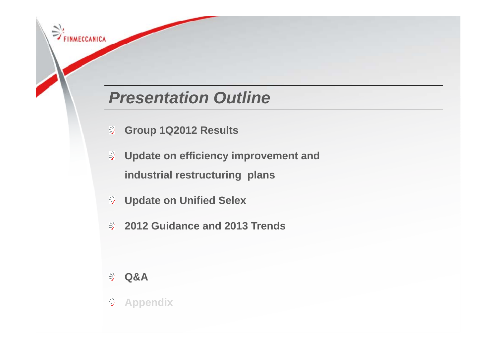# *Presentation Outline*

- **Grou p 1Q2012 Results**
- **Update on efficiency improvement and industrial restructuring plans**
- **Update on Unified Selex**
- **2012 Guidance and 2013 Trends**

## **Q&A**

FINMECCANICA

**Appendix**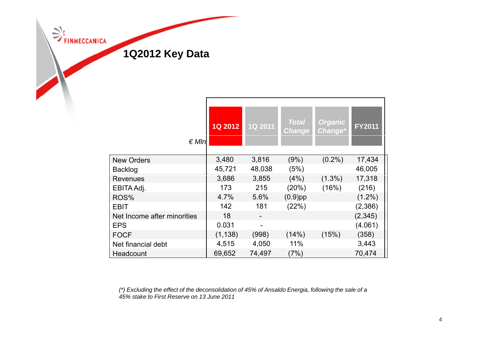

| $\notin Mln$                | <b>1Q 2012</b> | 1Q 2011 | <b>Total</b><br><b>Change</b> | <b>Organic</b><br>Change* | <b>FY2011</b> |
|-----------------------------|----------------|---------|-------------------------------|---------------------------|---------------|
| <b>New Orders</b>           | 3,480          | 3,816   | (9%)                          | $(0.2\%)$                 | 17,434        |
| Backlog                     | 45,721         | 48,038  | (5%)                          |                           | 46,005        |
| <b>Revenues</b>             | 3,686          | 3,855   | (4%)                          | $(1.3\%)$                 | 17,318        |
| EBITA Adj.                  | 173            | 215     | (20%)                         | (16%)                     | (216)         |
| ROS%                        | 4.7%           | 5.6%    | $(0.9)$ pp                    |                           | $(1.2\%)$     |
| EBIT                        | 142            | 181     | (22%)                         |                           | (2,386)       |
| Net Income after minorities | 18             |         |                               |                           | (2, 345)      |
| <b>EPS</b>                  | 0.031          |         |                               |                           | (4.061)       |
| <b>FOCF</b>                 | (1, 138)       | (998)   | (14%)                         | (15%)                     | (358)         |
| Net financial debt          | 4,515          | 4,050   | 11%                           |                           | 3,443         |
| Headcount                   | 69,652         | 74,497  | (7%)                          |                           | 70,474        |

*(\*) Excluding the effect of the deconsolidation of 45% of Ansaldo Energia, following the sale of <sup>a</sup> 45% t k t Fi t R 13 J 2011 45% stake to FirstReserve on June*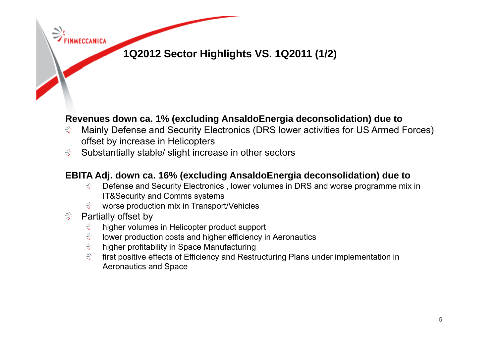

### **Revenues down ca. 1% (excluding AnsaldoEnergia deconsolidation) due to**

- Mainly Defense and Security Electronics (DRS lower activities for US Armed Forces) ⊰ offset by increase in Helicopters
- Substantially stable/ slight increase in other sectors -≫

### **EBITA Adj down ca 16% (excluding Adj. ca. AnsaldoEnergia deconsolidation) due to**

- Defense and Security Electronics , lower volumes in DRS and worse programme mix in 좋아. IT&Security and Comms systems
- worse production mix in Transport/Vehicles
- Partially offset by  $\Rightarrow$

**INMECCANICA** 

- higher volumes in Helicopter product support ₩
- シ lower production costs and higher efficiency in Aeronautics
- 今 higher profitability in Space Manufacturing
- $\geq$ first positive effects of Efficiency and Restructuring Plans under implementation in Aeronautics and Space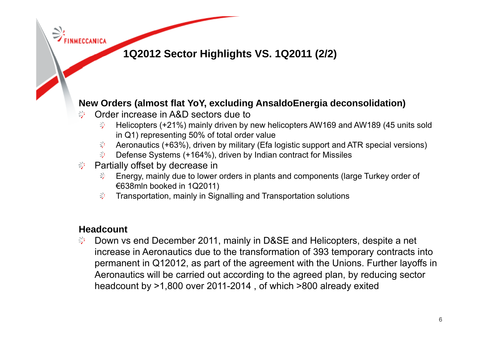# **1Q2012 Sector Highlights VS 1Q2011 (2/2) VS. 1Q2011**

## **New Orders (almost flat YoY, excluding AnsaldoEnergia deconsolidation)**

- Order increase in A&D sectors due toಿ
	- Helicopters (+21%) mainly driven by new helicopters AW169 and AW189 (45 units sold ે∕ે in  $Q1$ ) representing 50% of total order value
	- Aeronautics (+63%), driven by military (Efa logistic support and ATR special versions)
	- 아이 Defense Systems (+164%), driven by Indian contract for Missiles
- Partially offset by decrease in ફ્રેમ
	- Energy, mainly due to lower orders in plants and components (large Turkey order of €638mln booked in 1Q2011)
	- $\Rightarrow$  Transportation, mainly in Signalling and Transportation solutions

### **Headcount**

Down vs end December 2011, mainly in D&SE and Helicopters, despite a net ે increase in Aeronautics due to the transformation of 393 temporary contracts into permanent in Q12012, as part of the agreement with the Unions. Further layoffs in Aeronautics will be carried out according to the agreed plan, by reducing sector headcount by >1,800 over 2011-2014 , of which >800 already exited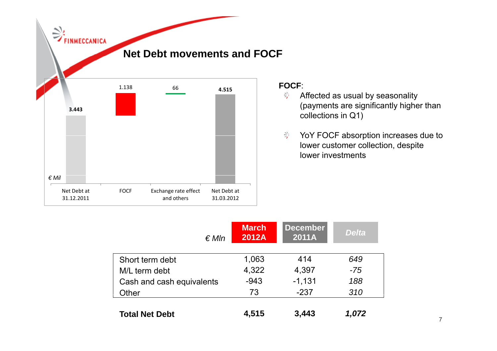

#### **FOCF**:

- ジ Affected as usual by seasonality (payments are significantly higher than collections in Q1)
- $\frac{2}{7}$ YoY FOCF absorption increases due to lower customer collection, despite lower investments

| $\notin Mln$              | <b>March</b><br>2012A | <b>December</b><br>2011A | <b>Delta</b> |
|---------------------------|-----------------------|--------------------------|--------------|
| Short term debt           | 1,063                 | 414                      | 649          |
| M/L term debt             | 4,322                 | 4,397                    | $-75$        |
| Cash and cash equivalents | $-943$                | $-1,131$                 | 188          |
| Other                     | 73                    | $-237$                   | 310          |
| <b>Total Net Debt</b>     | 4,515                 | 3,443                    | 1,072        |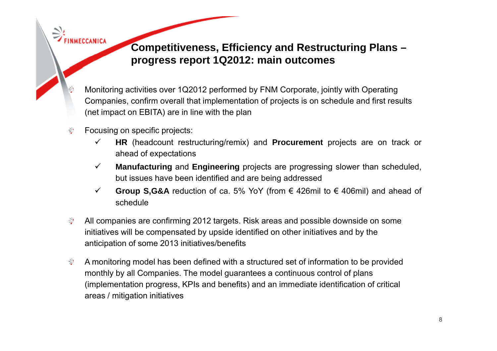**Competitiveness, Efficiency and Restructuring Plans – progress report 1Q2012: main outcomes**

- Monitoring activities over 1Q2012 performed by FNM Corporate, jointly with Operating Companies, confirm overall that implementation of projects is on schedule and first results (net impact on EBITA) are in line with the plan
- Focusing on specific projects: 匀
	- $\checkmark$  **HR** (headcount restructuring/remix) and **Procurement** projects are on track or ahead of expectations
	- $\checkmark$  **Manufacturing** and **Engineering** projects are progressing slower than scheduled, but issues have been identified and are being addressed
	- $\checkmark$  **Group S,G&A** reduction of ca. 5% YoY (from € 426mil to € 406mil) and ahead of schedule
- ⊰ All companies are confirming 2012 targets. Risk areas and possible downside on some initiatives will be compensated by upside identified on other initiatives and by the anticipation of some 2013 initiatives/benefits
- ₩ A monitoring model has been defined with a structured set of information to be provided monthly by all Companies. The model guarantees a continuous control of plans (implementation progress, KPIs and benefits) and an immediate identification of critical areas / mitigation initiatives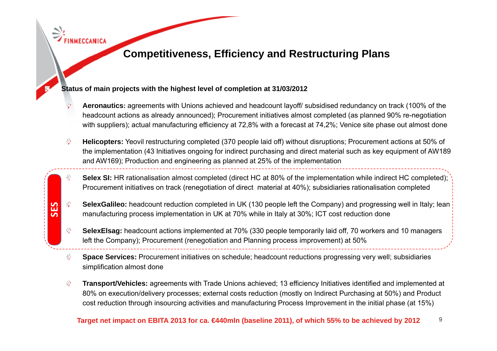# **Competitiveness Efficiency and Restructuring , Plans**

#### **Status of main projects with the highest level of completion at 31/03/2012**

- $\frac{N}{2}$ **Aeronautics:** agreements with Unions achieved and headcount layoff/ subsidised redundancy on track (100% of the headcount actions as already announced); Procurement initiatives almost completed (as planned 90% re-negotiation with suppliers); actual manufacturing efficiency at 72,8% with a forecast at 74,2%; Venice site phase out almost done
- **Helicopters:** Yeovil restructuring completed (370 people laid off) without disruptions; Procurement actions at 50% of ₹ the implementation (43 Initiatives ongoing for indirect purchasing and direct material such as key equipment of AW189 and AW169); Production and engineering as planned at 25% of the implementation
- Selex SI: HR rationalisation almost completed (direct HC at 80% of the implementation while indirect HC completed); Procurement initiatives on track (renegotiation of direct material at 40%); subsidiaries rationalisation completed
- **SelexGalileo:** headcount reduction completed in UK (130 people left the Company) and progressing well in Italy; lean SelexGalileo: headcount reduction completed in UK (130 people left the Company) and progressing<br>External manufacturing process implementation in UK at 70% while in Italy at 30%; ICT cost reduction done
	- $\hat{\Xi}^{\mu}$ **SelexElsag:** headcount actions implemented at 70% (330 people temporarily laid off, 70 workers and 10 managers left the Company); Procurement (renegotiation and Planning process improvement) at 50%
	- $\Rightarrow$ **Space Services:** Procurement initiatives on schedule; headcount reductions progressing very well; subsidiaries simplification almost done
	- **Transport/Vehicles:** agreements with Trade Unions achieved; 13 efficiency Initiatives identified and implemented at ₹ 80% on execution/delivery processes; external costs reduction (mostly on Indirect Purchasing at 50%) and Product cost reduction through insourcing activities and manufacturing Process Improvement in the initial phase (at 15%)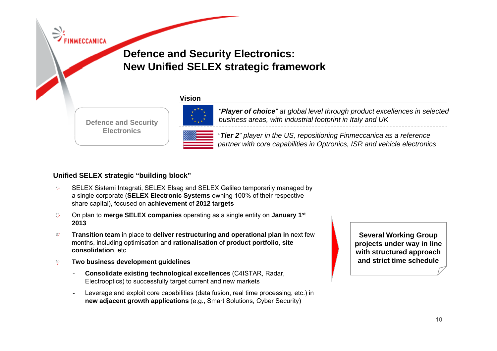# **Defence and Security Electronics: New Unified SELEX strategic framework**

#### **Vi iVision**

**Electronics** 



*"Player of choice" at global level through product excellences in selected business areas, with industrial footprint in Italy and UK* **Defence and Security** 

> *"Tier 2" player in the US repositioning US, Finmeccanica as <sup>a</sup> reference partner with core capabilities in Optronics, ISR and vehicle electronics*

#### **Unified SELEX strategic "building block" building block**

- SELEX Sistemi Integrati, SELEX Elsag and SELEX Galileo temporarily managed by اعر≘ a single corporate (**SELEX Electronic Systems** owning 100% of their respective share capital), focused on **achievement** of **2012 targets**
- $\Rightarrow$ On plan to **merge SELEX companies** operating as <sup>a</sup> single entity on **January 1st SELEX 2013**
- $\oplus$ **Transition team** in place to **deliver restructuring and operational plan in** next few months, including optimisation and **rationalisation** of **product portfolio**, **site consolidation**, etc.
- 今 **Two business development guidelines**
	- - **Consolidate existing technological excellences** (C4ISTAR, Radar, Electrooptics) to successfully target current and new markets
	- - Leverage and exploit core capabilities (data fusion, real time processing, etc.) in **new adjacent growth applications** (e.g., Smart Solutions, Cyber Security)

**Several Working Group projects under way in line with structured approach pp and strict time schedule**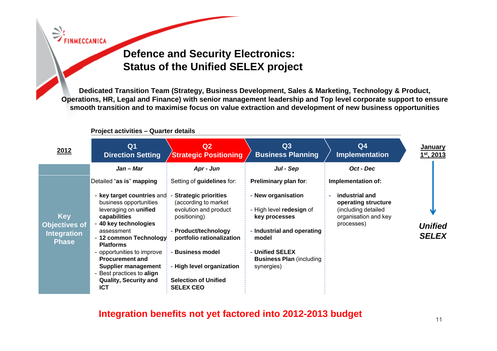# **Defence and Security Electronics: Status of the Unified SELEX project**

**Dedicated Transition Team (Strategy, Business Development, Sales & Marketing, Technology & Product, Operations, HR, Legal and Finance) with senior management leadership and Top level corporate support to ensure smooth transition and to maximise focus on value extraction and development of new business opportunities**

| 2012                                                     | Q <sub>1</sub><br><b>Direction Setting</b>                                                                                       | Q <sub>2</sub><br><b>Strategic Positioning</b>                                                                     | Q3<br><b>Business Planning</b>                                                   | Q <sub>4</sub><br><b>Implementation</b>                                          | January<br>$1st$ , 2013        |
|----------------------------------------------------------|----------------------------------------------------------------------------------------------------------------------------------|--------------------------------------------------------------------------------------------------------------------|----------------------------------------------------------------------------------|----------------------------------------------------------------------------------|--------------------------------|
|                                                          | Jan – Mar<br>Detailed "as is" mapping<br>- key target countries and                                                              | Apr - Jun<br>Setting of guidelines for:<br><b>Strategic priorities</b>                                             | Jul - Sep<br><b>Preliminary plan for:</b><br>- New organisation                  | Oct - Dec<br>Implementation of:<br>industrial and                                |                                |
| <b>Key</b><br><b>Objectives of</b><br><b>Integration</b> | business opportunities<br>leveraging on unified<br>capabilities<br>- 40 key technologies<br>assessment<br>- 12 common Technology | (according to market<br>evolution and product<br>positioning)<br>- Product/technology<br>portfolio rationalization | - High level redesign of<br>key processes<br>- Industrial and operating<br>model | operating structure<br>(including detailed<br>organisation and key<br>processes) | <b>Unified</b><br><b>SELEX</b> |
| <b>Phase</b>                                             | <b>Platforms</b><br>- opportunities to improve<br><b>Procurement and</b><br>Supplier management<br>- Best practices to align     | <b>Business model</b><br>- High level organization                                                                 | - Unified SELEX<br><b>Business Plan (including)</b><br>synergies)                |                                                                                  |                                |
|                                                          | <b>Quality, Security and</b><br><b>ICT</b>                                                                                       | <b>Selection of Unified</b><br><b>SELEX CEO</b>                                                                    |                                                                                  |                                                                                  |                                |

#### **Project activities – Quarter details**

**Integration benefits not yet factored into 2012-2013 budget**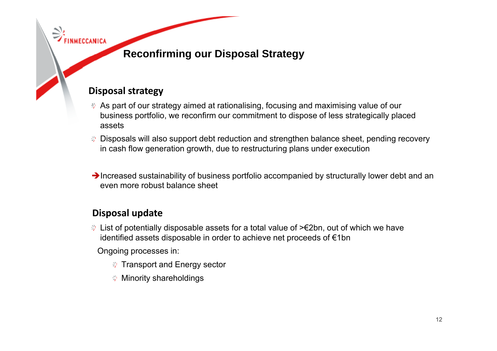# **Reconfirming our Disposal Strategy Disposal**

### **Disposal strategy p gy**

- As part of our strategy aimed at rationalising, focusing and maximising value of our business portfolio, we reconfirm our commitment to dispose of less strategically placed assets
- **→ Disposals will also support debt reduction and strengthen balance sheet, pending recovery** in cash flow generation growth, due to restructuring plans under execution
- $\rightarrow$  Increased sustainability of business portfolio accompanied by structurally lower debt and an even more robust balance sheet

### **Disposal update**

List of potentially disposable assets for a total value of >€2bn, out of which we have identified assets disposable in order to achieve net proceeds of €1bn

Ongoing processes in:

- **IF Transport and Energy sector**
- **<sup>→</sup> Minority shareholdings**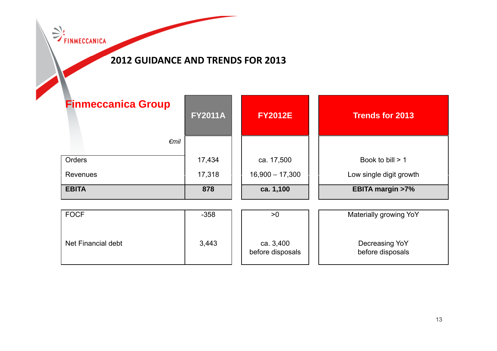**EXPRESSION** 

### **2012 GUIDANCE AND TRENDS FOR 2013**

| <b>Finmeccanica Group</b><br>$\epsilon$ mil | <b>FY2011A</b>   | <b>FY2012E</b>                  | <b>Trends for 2013</b>                        |
|---------------------------------------------|------------------|---------------------------------|-----------------------------------------------|
| Orders<br>Revenues                          | 17,434<br>17,318 | ca. 17,500<br>$16,900 - 17,300$ | Book to bill $> 1$<br>Low single digit growth |
| <b>EBITA</b>                                | 878              | ca. 1,100                       | <b>EBITA margin &gt;7%</b>                    |
| <b>FOCF</b>                                 | $-358$           | >0                              | Materially growing YoY                        |
| Net Financial debt                          | 3,443            | ca. 3,400<br>before disposals   | Decreasing YoY<br>before disposals            |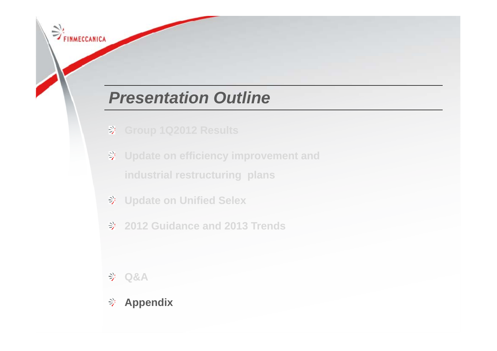# *Presentation Outline*

- 
- **Update on efficiency improvement and industrial restructuring plans**
- **Update on Unified Selex**
- **2012 Guidance and 2013 Trends**

**Q&A**

FINMECCANICA

**Appendix**学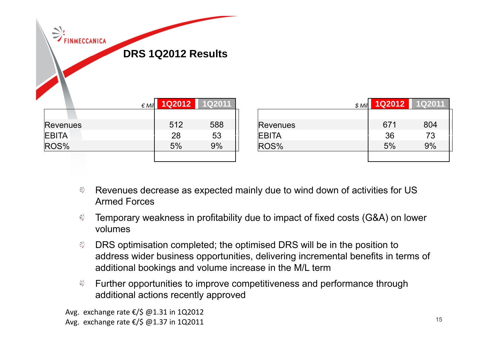| $\Rightarrow$ FINMECCANICA | $\notin$ Mil | DRS 1Q2012 Results<br><b>1Q2012</b> | 1Q2011 |              |
|----------------------------|--------------|-------------------------------------|--------|--------------|
|                            |              | 512                                 |        |              |
| Revenues                   |              |                                     | 588    | Reven        |
| <b>EBITA</b>               |              | 28                                  | 53     | <b>EBITA</b> |
| ROS%                       |              | 5%                                  | 9%     | ROS%         |
|                            |              |                                     |        |              |

| $$$ Mil         | 1Q2012 | <b>1Q2011</b> |
|-----------------|--------|---------------|
|                 |        |               |
| <b>Revenues</b> | 671    | 804           |
| <b>EBITA</b>    | 36     | 73            |
| ROS%            | 5%     | 9%            |
|                 |        |               |

- $\Rightarrow$ Revenues decrease as expected mainly due to wind down of activities for US Armed Forces
- $\Rightarrow$ Temporary weakness in profitability due to impact of fixed costs (G&A) on lower volumes
- $\Rightarrow$ DRS optimisation completed; the optimised DRS will be in the position to address wider business opportunities, delivering incremental benefits in terms of additional bookings and volume increase in the M/L term
- 学 Further opportunities to improve competitiveness and performance through additional actions recently approved

Avg. exchange rate €/\$ @1.31 in 1Q2012 Avg. exchange rate €/\$ @1.37 in 1Q2011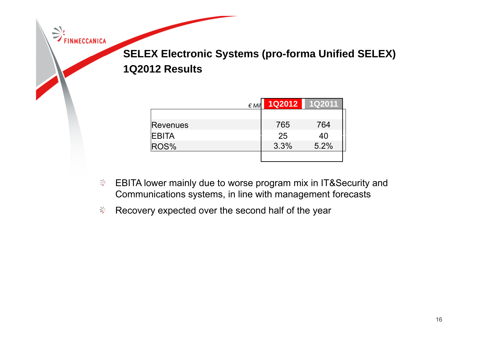**SELEX Electronic Systems (pro -forma Unified SELEX) forma 1Q2012 Results**

| $\notin$ Mil | 1Q2012 | 1Q2011 |
|--------------|--------|--------|
|              |        |        |
| Revenues     | 765    | 764    |
| <b>EBITA</b> | 25     | 40     |
| ROS%         | 3.3%   | 5.2%   |
|              |        |        |

- <sup>→</sup> EBITA lower mainly due to worse program mix in IT&Security and Communications systems, in line with management forecasts
- Recovery expected over the second half of the year

FINMECCANICA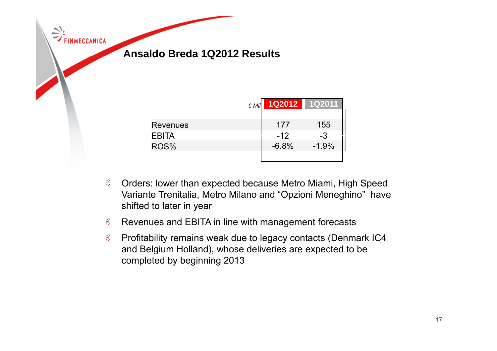**Ansaldo Breda 1Q2012 Results**

FINMECCANICA

| $\notin$ Mil | 1Q2012  | 1Q2011  |
|--------------|---------|---------|
|              |         |         |
| Revenues     | 177     | 155     |
| <b>EBITA</b> | $-12$   | $-3$    |
| ROS%         | $-6.8%$ | $-1.9%$ |
|              |         |         |

- Orders: lower than expected because Metro Miami, High Speed -Variante Trenitalia, Metro Milano and "Opzioni Meneghino" have shifted to later in year
- Revenues and EBITA in line with management forecasts -
- $\Rightarrow$ Profitability remains weak due to legacy contacts (Denmark IC4 and Belgium Holland), whose deliveries are expected to be completed by beginning 2013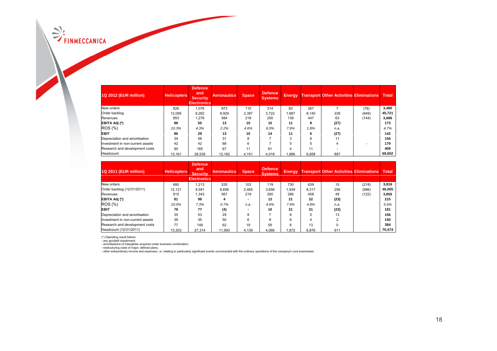$\Rightarrow$  FINMECCANICA

| 1Q 2012 (EUR million)            | <b>Helicopters</b> | Defence<br>and<br><b>Security</b><br><b>Electronics</b> | <b>Aeronautics</b> | <b>Space</b> | Defence<br>Systems, | <b>Energy</b> |       | <b>Transport Other Activities Eliminations</b> |       | <b>Total</b> |
|----------------------------------|--------------------|---------------------------------------------------------|--------------------|--------------|---------------------|---------------|-------|------------------------------------------------|-------|--------------|
| New orders                       | 826                | 1,076                                                   | 873                | 110          | 314                 | 83            | 267   |                                                | (76)  | 3,480        |
| Order backlog                    | 12.095             | 9,282                                                   | 8.929              | 2,387        | 3.722               | .887          | 8.140 | 228                                            | (949) | 45,721       |
| Revenues                         | 853                | 1.276                                                   | 584                | 218          | 250                 | 139           | 447   | 63                                             | (144) | 3,686        |
| EBITA Adj (*)                    | 88                 | 55                                                      | 13                 | 10           | 15                  | 11            | 8     | (27)                                           |       | 173          |
| <b>ROS</b> (%)                   | 10.3%              | 4.3%                                                    | 2.2%               | 4.6%         | 6.0%                | 7.9%          | 1.8%  | n.a.                                           |       | 4.7%         |
| <b>EBIT</b>                      | 86                 | 29                                                      | 13                 | 10           | 14                  | 11            | 6     | (27)                                           |       | 142          |
| Depreciation and amortisation    | 34                 | 56                                                      | 31                 | 8            |                     | 3             | 6     | 11                                             |       | 156          |
| Investment in non-current assets | 42                 | 42                                                      | 68                 | 6            |                     | 5             | 5     | 4                                              |       | 179          |
| Research and development costs   | 90                 | 165                                                     | 67                 |              | 61                  | 4             | 11    |                                                |       | 409          |
| Headcount                        | 13,161             | 26,539                                                  | 12,162             | 4,151        | 4,018               | .866          | 6,858 | 897                                            |       | 69,652       |

| 1Q 2011 (EUR million)            | <b>Helicopters</b> | <b>Defence</b><br>and<br><b>Security</b><br><b>Electronics</b> | <b>Aeronautics</b> | <b>Space</b> | Defence<br><b>Systems</b> | <b>Energy</b> |       | <b>Transport Other Activities Eliminations</b> |       | <b>Total</b> |
|----------------------------------|--------------------|----------------------------------------------------------------|--------------------|--------------|---------------------------|---------------|-------|------------------------------------------------|-------|--------------|
| New orders                       | 680                | 1.213                                                          | 535                | 103          | 119                       | 730           | 639   | 15                                             | (218) | 3.816        |
| Order backlog (12/31/2011)       | 12.121             | 9.591                                                          | 8.656              | 2.465        | 3.656                     | 1.939         | 8.317 | 256                                            | (996) | 46,005       |
| Revenues                         | 815                | 1.343                                                          | 567                | 219          | 260                       | 266           | 458   | 49                                             | (122) | 3,855        |
| EBITA Adj (*)                    | 81                 | 98                                                             | Δ                  |              | 12                        | 21            | 22    | (23)                                           |       | 215          |
| ROS (%)                          | 10.0%              | 7.3%                                                           | 0.7%               | n.a.         | 4.6%                      | 7.9%          | 4.8%  | n.a.                                           |       | 5.6%         |
| <b>EBIT</b>                      | 79                 | 77                                                             | (4)                |              | 10                        | 21            | 21    | (23)                                           |       | 181          |
| Depreciation and amortisation    | 35                 | 53                                                             | 29                 | 8            |                           | 6             | 5     | 13                                             |       | 156          |
| Investment in non-current assets | 39                 | 35                                                             | 50                 | 6            | 8                         | 6             | 4     |                                                |       | 150          |
| Research and development costs   | 77                 | 148                                                            | 62                 | 19           | 59                        | 6             | 13    |                                                |       | 384          |
| Headcount (12/31/2011)           | 13,303             | 27.314                                                         | 11.993             | 4,139        | 4.066                     | 1.872         | 6.876 | 911                                            |       | 70.474       |

(\*) Operating result before:<br>- any goodwill impairment;<br>- restructuring costs of major, defined under business combination;<br>- restructuring costs of major, defined plans;<br>- other extraordinary income and expenses, i.e. rel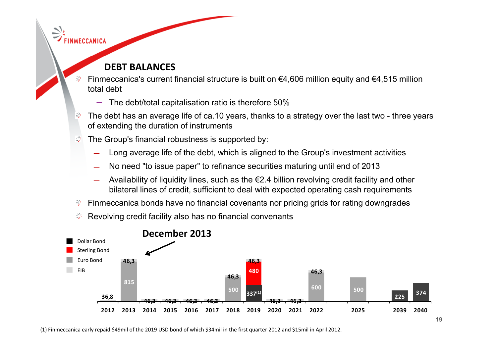### **DEBT BALANCES**

FINMECCANICA

- Finmeccanica's current financial structure is built on €4,606 million equity and €4,515 million total debt
	- ‒The debt/total capitalisation ratio is therefore 50%
- ₿ The debt has an average life of ca.10 years, thanks to a strategy over the last two - three years of extending the duration of instruments
- The Group's financial robustness is supported by: ₿
	- ̶Long average life of the debt, which is aligned to the Group's investment activities
	- ̶No need "to issue paper" to refinance securities maturing until end of 2013
	- ̶Availability of liquidity lines, such as the €2.4 billion revolving credit facility and other bilateral lines of credit, sufficient to deal with expected operating cash requirements
- Finmeccanica bonds have no financial covenants nor pricing grids for rating downgrades ₩
- Revolving credit facility also has no financial convenants ∌